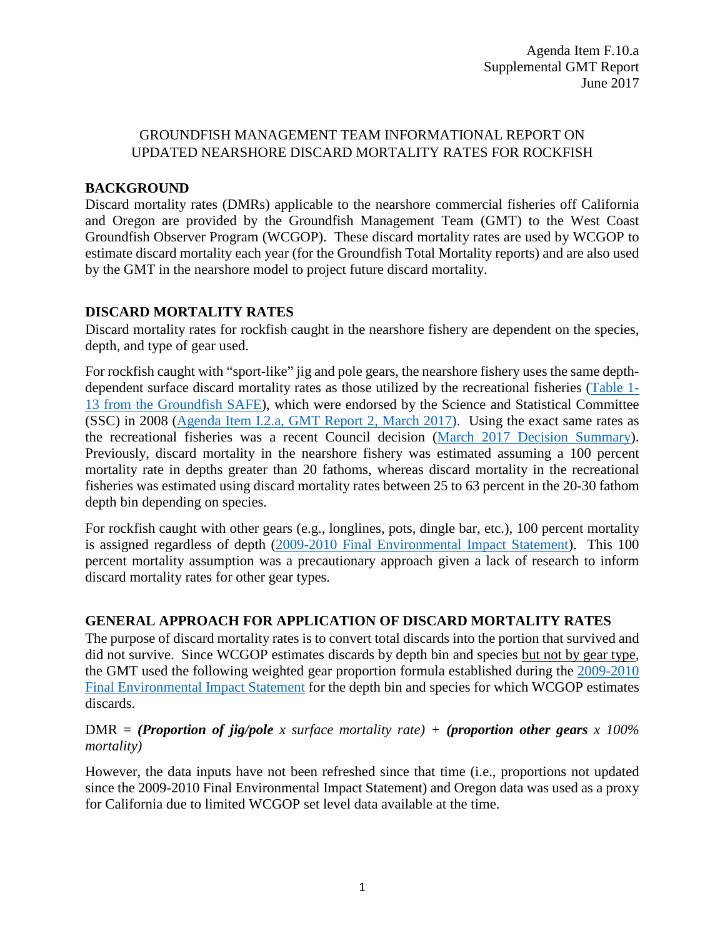## GROUNDFISH MANAGEMENT TEAM INFORMATIONAL REPORT ON UPDATED NEARSHORE DISCARD MORTALITY RATES FOR ROCKFISH

### **BACKGROUND**

Discard mortality rates (DMRs) applicable to the nearshore commercial fisheries off California and Oregon are provided by the Groundfish Management Team (GMT) to the West Coast Groundfish Observer Program (WCGOP). These discard mortality rates are used by WCGOP to estimate discard mortality each year (for the Groundfish Total Mortality reports) and are also used by the GMT in the nearshore model to project future discard mortality.

#### **DISCARD MORTALITY RATES**

Discard mortality rates for rockfish caught in the nearshore fishery are dependent on the species, depth, and type of gear used.

For rockfish caught with "sport-like" jig and pole gears, the nearshore fishery uses the same depthdependent surface discard mortality rates as those utilized by the recreational fisheries [\(Table 1-](http://www.pcouncil.org/wp-content/uploads/2017/02/SAFE_Dec2016_02_28_2017.pdf) [13 from the Groundfish SAFE\)](http://www.pcouncil.org/wp-content/uploads/2017/02/SAFE_Dec2016_02_28_2017.pdf), which were endorsed by the Science and Statistical Committee (SSC) in 2008 [\(Agenda Item I.2.a, GMT Report 2,](http://www.pcouncil.org/wp-content/uploads/2017/02/I2a_GMT_Rpt2_Mar2017BB.pdf) March 2017). Using the exact same rates as the recreational fisheries was a recent Council decision [\(March 2017 Decision](http://www.pcouncil.org/wp-content/uploads/2017/03/March2017FinalDecisionSummaryDocument.pdf) Summary). Previously, discard mortality in the nearshore fishery was estimated assuming a 100 percent mortality rate in depths greater than 20 fathoms, whereas discard mortality in the recreational fisheries was estimated using discard mortality rates between 25 to 63 percent in the 20-30 fathom depth bin depending on species.

For rockfish caught with other gears (e.g., longlines, pots, dingle bar, etc.), 100 percent mortality is assigned regardless of depth [\(2009-2010 Final Environmental Impact Statement\)](http://www.pcouncil.org/wp-content/uploads/0910GF_SpexFEIS.pdf). This 100 percent mortality assumption was a precautionary approach given a lack of research to inform discard mortality rates for other gear types.

## **GENERAL APPROACH FOR APPLICATION OF DISCARD MORTALITY RATES**

The purpose of discard mortality rates is to convert total discards into the portion that survived and did not survive. Since WCGOP estimates discards by depth bin and species but not by gear type, the GMT used the following weighted gear proportion formula established during the [2009-2010](http://www.pcouncil.org/wp-content/uploads/0910GF_SpexFEIS.pdf)  [Final Environmental Impact Statement](http://www.pcouncil.org/wp-content/uploads/0910GF_SpexFEIS.pdf) for the depth bin and species for which WCGOP estimates discards.

#### DMR = *(Proportion of jig/pole x surface mortality rate) + (proportion other gears x 100% mortality)*

However, the data inputs have not been refreshed since that time (i.e., proportions not updated since the 2009-2010 Final Environmental Impact Statement) and Oregon data was used as a proxy for California due to limited WCGOP set level data available at the time.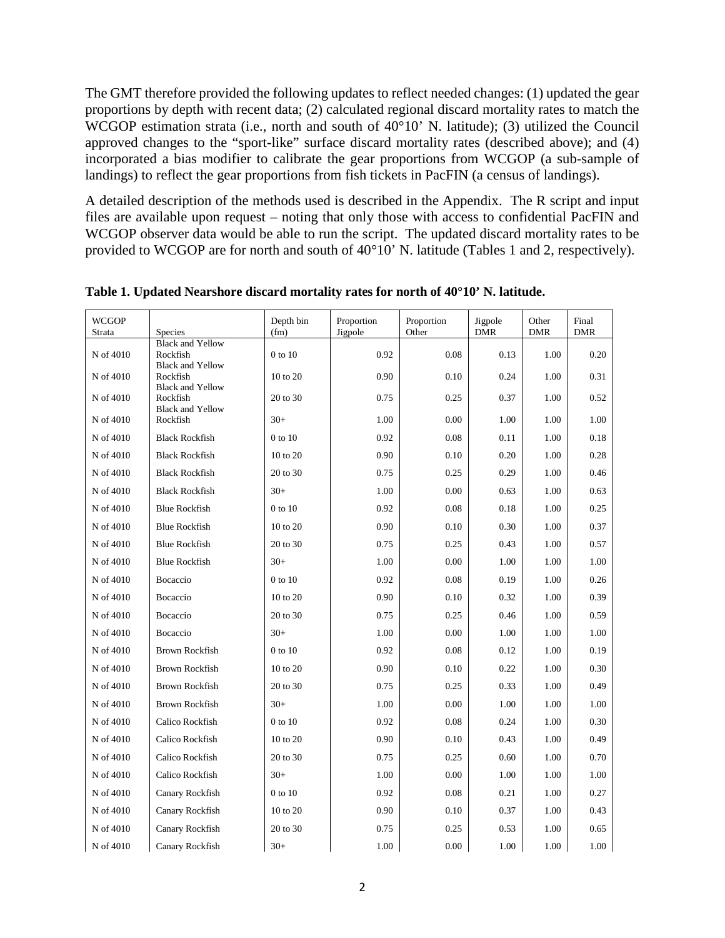The GMT therefore provided the following updates to reflect needed changes: (1) updated the gear proportions by depth with recent data; (2) calculated regional discard mortality rates to match the WCGOP estimation strata (i.e., north and south of 40°10' N. latitude); (3) utilized the Council approved changes to the "sport-like" surface discard mortality rates (described above); and (4) incorporated a bias modifier to calibrate the gear proportions from WCGOP (a sub-sample of landings) to reflect the gear proportions from fish tickets in PacFIN (a census of landings).

A detailed description of the methods used is described in the Appendix. The R script and input files are available upon request – noting that only those with access to confidential PacFIN and WCGOP observer data would be able to run the script. The updated discard mortality rates to be provided to WCGOP are for north and south of 40°10' N. latitude (Tables 1 and 2, respectively).

| <b>WCGOP</b><br>Strata | <b>Species</b>                      | Depth bin<br>(fm) | Proportion<br>Jigpole | Proportion<br>Other | Jigpole<br><b>DMR</b> | Other<br><b>DMR</b> | Final<br><b>DMR</b> |
|------------------------|-------------------------------------|-------------------|-----------------------|---------------------|-----------------------|---------------------|---------------------|
| N of 4010              | <b>Black and Yellow</b><br>Rockfish | 0 to 10           | 0.92                  | 0.08                | 0.13                  | 1.00                | 0.20                |
| N of 4010              | <b>Black and Yellow</b><br>Rockfish | 10 to 20          | 0.90                  | 0.10                | 0.24                  | 1.00                | 0.31                |
| N of 4010              | <b>Black and Yellow</b><br>Rockfish | 20 to 30          | 0.75                  | 0.25                | 0.37                  | 1.00                | 0.52                |
| N of 4010              | <b>Black and Yellow</b><br>Rockfish | $30+$             | 1.00                  | 0.00                | 1.00                  | 1.00                | 1.00                |
| N of 4010              | <b>Black Rockfish</b>               | $0$ to $10$       | 0.92                  | 0.08                | 0.11                  | 1.00                | 0.18                |
| N of 4010              | <b>Black Rockfish</b>               | 10 to 20          | 0.90                  | 0.10                | 0.20                  | 1.00                | 0.28                |
| N of 4010              | <b>Black Rockfish</b>               | 20 to 30          | 0.75                  | 0.25                | 0.29                  | 1.00                | 0.46                |
| N of 4010              | <b>Black Rockfish</b>               | $30+$             | 1.00                  | 0.00                | 0.63                  | 1.00                | 0.63                |
| N of 4010              | <b>Blue Rockfish</b>                | 0 to 10           | 0.92                  | 0.08                | 0.18                  | 1.00                | 0.25                |
| N of 4010              | <b>Blue Rockfish</b>                | 10 to 20          | 0.90                  | 0.10                | 0.30                  | 1.00                | 0.37                |
| N of 4010              | <b>Blue Rockfish</b>                | 20 to 30          | 0.75                  | 0.25                | 0.43                  | 1.00                | 0.57                |
| N of 4010              | <b>Blue Rockfish</b>                | $30+$             | 1.00                  | 0.00                | 1.00                  | 1.00                | 1.00                |
| N of 4010              | Bocaccio                            | 0 to 10           | 0.92                  | 0.08                | 0.19                  | 1.00                | 0.26                |
| N of 4010              | Bocaccio                            | 10 to 20          | 0.90                  | 0.10                | 0.32                  | 1.00                | 0.39                |
| N of 4010              | Bocaccio                            | 20 to 30          | 0.75                  | 0.25                | 0.46                  | 1.00                | 0.59                |
| N of 4010              | Bocaccio                            | $30+$             | 1.00                  | 0.00                | 1.00                  | 1.00                | 1.00                |
| N of 4010              | <b>Brown Rockfish</b>               | 0 to 10           | 0.92                  | 0.08                | 0.12                  | 1.00                | 0.19                |
| N of 4010              | <b>Brown Rockfish</b>               | 10 to 20          | 0.90                  | 0.10                | 0.22                  | 1.00                | 0.30                |
| N of 4010              | <b>Brown Rockfish</b>               | 20 to 30          | 0.75                  | 0.25                | 0.33                  | 1.00                | 0.49                |
| N of 4010              | <b>Brown Rockfish</b>               | $30+$             | 1.00                  | 0.00                | 1.00                  | 1.00                | 1.00                |
| N of 4010              | Calico Rockfish                     | 0 to 10           | 0.92                  | 0.08                | 0.24                  | 1.00                | 0.30                |
| N of 4010              | Calico Rockfish                     | 10 to 20          | 0.90                  | 0.10                | 0.43                  | 1.00                | 0.49                |
| N of 4010              | Calico Rockfish                     | 20 to 30          | 0.75                  | 0.25                | 0.60                  | 1.00                | 0.70                |
| N of 4010              | Calico Rockfish                     | $30+$             | 1.00                  | 0.00                | 1.00                  | 1.00                | 1.00                |
| N of 4010              | Canary Rockfish                     | 0 to 10           | 0.92                  | 0.08                | 0.21                  | 1.00                | 0.27                |
| N of 4010              | Canary Rockfish                     | 10 to 20          | 0.90                  | 0.10                | 0.37                  | 1.00                | 0.43                |
| N of 4010              | Canary Rockfish                     | 20 to 30          | 0.75                  | 0.25                | 0.53                  | 1.00                | 0.65                |
| N of 4010              | Canary Rockfish                     | $30+$             | 1.00                  | 0.00                | 1.00                  | 1.00                | 1.00                |

**Table 1. Updated Nearshore discard mortality rates for north of 40°10' N. latitude.**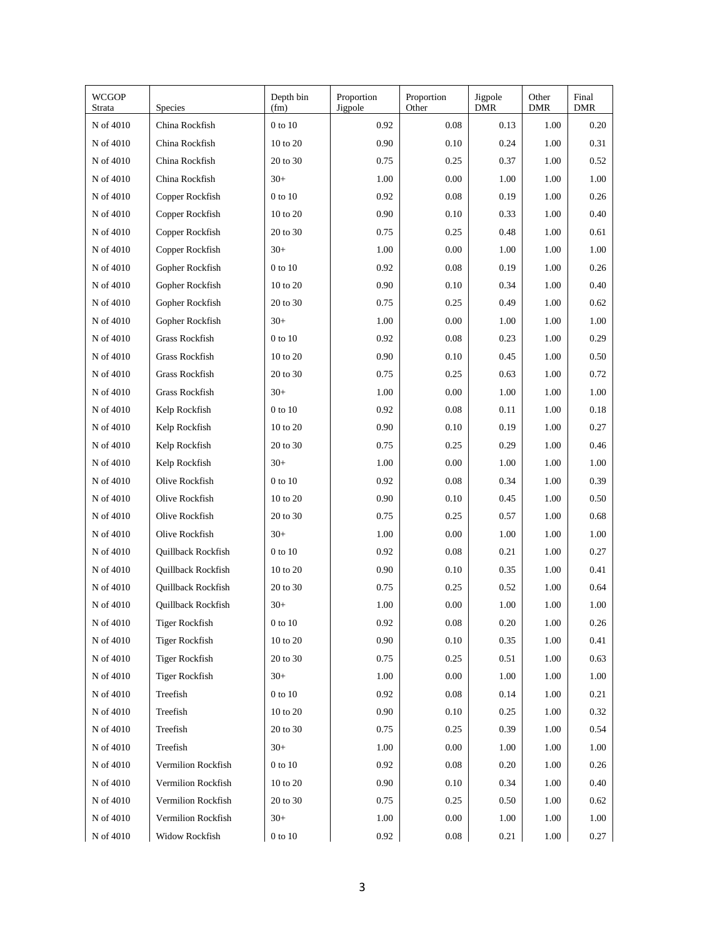| <b>WCGOP</b><br>Strata | <b>Species</b>        | Depth bin<br>(fm) | Proportion<br>Jigpole | Proportion<br>Other | Jigpole<br><b>DMR</b> | Other<br><b>DMR</b> | Final<br><b>DMR</b> |
|------------------------|-----------------------|-------------------|-----------------------|---------------------|-----------------------|---------------------|---------------------|
| N of 4010              | China Rockfish        | 0 to 10           | 0.92                  | 0.08                | 0.13                  | 1.00                | 0.20                |
| N of 4010              | China Rockfish        | 10 to 20          | 0.90                  | 0.10                | 0.24                  | 1.00                | 0.31                |
| N of 4010              | China Rockfish        | 20 to 30          | 0.75                  | 0.25                | 0.37                  | 1.00                | 0.52                |
| N of 4010              | China Rockfish        | $30+$             | 1.00                  | 0.00                | 1.00                  | 1.00                | 1.00                |
| N of 4010              | Copper Rockfish       | 0 to 10           | 0.92                  | 0.08                | 0.19                  | 1.00                | 0.26                |
| N of 4010              | Copper Rockfish       | 10 to 20          | 0.90                  | 0.10                | 0.33                  | 1.00                | 0.40                |
| N of 4010              | Copper Rockfish       | 20 to 30          | 0.75                  | 0.25                | 0.48                  | 1.00                | 0.61                |
| N of 4010              | Copper Rockfish       | $30+$             | 1.00                  | 0.00                | 1.00                  | 1.00                | 1.00                |
| N of 4010              | Gopher Rockfish       | 0 to 10           | 0.92                  | 0.08                | 0.19                  | 1.00                | 0.26                |
| N of 4010              | Gopher Rockfish       | 10 to 20          | 0.90                  | 0.10                | 0.34                  | 1.00                | 0.40                |
| N of 4010              | Gopher Rockfish       | 20 to 30          | 0.75                  | 0.25                | 0.49                  | 1.00                | 0.62                |
| N of 4010              | Gopher Rockfish       | $30+$             | 1.00                  | 0.00                | 1.00                  | 1.00                | 1.00                |
| N of 4010              | Grass Rockfish        | 0 to 10           | 0.92                  | 0.08                | 0.23                  | 1.00                | 0.29                |
| N of 4010              | Grass Rockfish        | 10 to 20          | 0.90                  | 0.10                | 0.45                  | 1.00                | 0.50                |
| N of 4010              | Grass Rockfish        | 20 to 30          | 0.75                  | 0.25                | 0.63                  | 1.00                | 0.72                |
| N of 4010              | Grass Rockfish        | $30+$             | 1.00                  | 0.00                | 1.00                  | 1.00                | 1.00                |
| N of 4010              | Kelp Rockfish         | 0 to 10           | 0.92                  | 0.08                | 0.11                  | 1.00                | 0.18                |
| N of 4010              | Kelp Rockfish         | 10 to 20          | 0.90                  | 0.10                | 0.19                  | 1.00                | 0.27                |
| N of 4010              | Kelp Rockfish         | 20 to 30          | 0.75                  | 0.25                | 0.29                  | 1.00                | 0.46                |
| N of 4010              | Kelp Rockfish         | $30+$             | 1.00                  | 0.00                | 1.00                  | 1.00                | 1.00                |
| N of 4010              | Olive Rockfish        | 0 to 10           | 0.92                  | 0.08                | 0.34                  | 1.00                | 0.39                |
| N of 4010              | Olive Rockfish        | 10 to 20          | 0.90                  | 0.10                | 0.45                  | 1.00                | 0.50                |
| N of 4010              | Olive Rockfish        | 20 to 30          | 0.75                  | 0.25                | 0.57                  | 1.00                | 0.68                |
| N of 4010              | Olive Rockfish        | $30+$             | 1.00                  | 0.00                | 1.00                  | 1.00                | 1.00                |
| N of 4010              | Quillback Rockfish    | 0 to 10           | 0.92                  | 0.08                | 0.21                  | 1.00                | 0.27                |
| N of 4010              | Quillback Rockfish    | 10 to 20          | 0.90                  | 0.10                | 0.35                  | 1.00                | 0.41                |
| N of 4010              | Quillback Rockfish    | 20 to 30          | 0.75                  | 0.25                | 0.52                  | 1.00                | 0.64                |
| N of 4010              | Quillback Rockfish    | $30+$             | 1.00                  | 0.00                | 1.00                  | 1.00                | 1.00                |
| $\hbox{N}$ of $4010$   | <b>Tiger Rockfish</b> | $0$ to $10\,$     | 0.92                  | $0.08\,$            | 0.20                  | 1.00                | 0.26                |
| N of 4010              | <b>Tiger Rockfish</b> | $10$ to $20\,$    | 0.90                  | $0.10\,$            | 0.35                  | 1.00                | 0.41                |
| N of 4010              | <b>Tiger Rockfish</b> | $20$ to $30\,$    | 0.75                  | 0.25                | 0.51                  | 1.00                | 0.63                |
| N of 4010              | <b>Tiger Rockfish</b> | $30+$             | 1.00                  | 0.00                | 1.00                  | 1.00                | 1.00                |
| N of 4010              | Treefish              | 0 to 10           | 0.92                  | 0.08                | 0.14                  | 1.00                | 0.21                |
| N of 4010              | Treefish              | $10$ to $20\,$    | 0.90                  | 0.10                | 0.25                  | 1.00                | 0.32                |
| N of 4010              | Treefish              | 20 to 30          | 0.75                  | 0.25                | 0.39                  | 1.00                | 0.54                |
| N of 4010              | Treefish              | $30+$             | 1.00                  | 0.00                | 1.00                  | 1.00                | 1.00                |
| N of 4010              | Vermilion Rockfish    | 0 to 10           | 0.92                  | 0.08                | 0.20                  | 1.00                | 0.26                |
| N of 4010              | Vermilion Rockfish    | $10$ to $20\,$    | 0.90                  | 0.10                | 0.34                  | 1.00                | 0.40                |
| N of 4010              | Vermilion Rockfish    | $20$ to $30\,$    | 0.75                  | 0.25                | 0.50                  | 1.00                | 0.62                |
| N of 4010              | Vermilion Rockfish    | $30+$             | 1.00                  | 0.00                | 1.00                  | 1.00                | 1.00                |
| N of 4010              | Widow Rockfish        | $0$ to $10\,$     | 0.92                  | 0.08                | 0.21                  | 1.00                | 0.27                |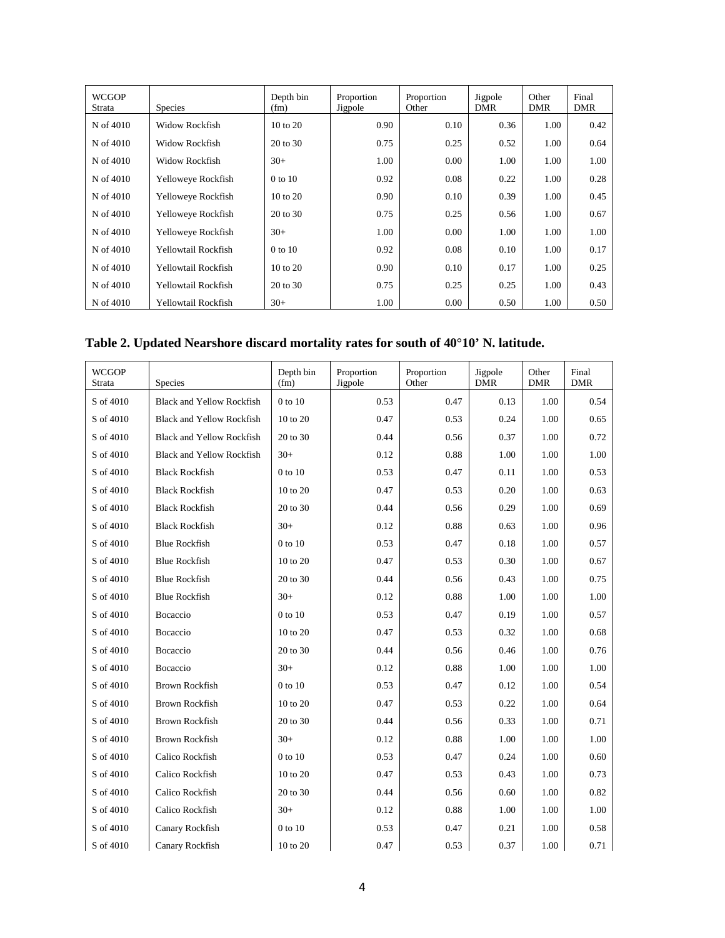| <b>WCGOP</b><br>Strata | <b>Species</b>        | Depth bin<br>(fm)   | Proportion<br>Jigpole | Proportion<br>Other | Jigpole<br><b>DMR</b> | Other<br><b>DMR</b> | Final<br><b>DMR</b> |
|------------------------|-----------------------|---------------------|-----------------------|---------------------|-----------------------|---------------------|---------------------|
| N of 4010              | Widow Rockfish        | 10 to 20            | 0.90                  | 0.10                | 0.36                  | 1.00                | 0.42                |
| N of 4010              | Widow Rockfish        | $20 \text{ to } 30$ | 0.75                  | 0.25                | 0.52                  | 1.00                | 0.64                |
| N of 4010              | <b>Widow Rockfish</b> | $30+$               | 1.00                  | 0.00                | 1.00                  | 1.00                | 1.00                |
| N of 4010              | Yelloweye Rockfish    | 0 to 10             | 0.92                  | 0.08                | 0.22                  | 1.00                | 0.28                |
| N of 4010              | Yelloweye Rockfish    | $10 \text{ to } 20$ | 0.90                  | 0.10                | 0.39                  | 1.00                | 0.45                |
| N of 4010              | Yelloweye Rockfish    | 20 to 30            | 0.75                  | 0.25                | 0.56                  | 1.00                | 0.67                |
| N of 4010              | Yelloweye Rockfish    | $30+$               | 1.00                  | 0.00                | 1.00                  | 1.00                | 1.00                |
| N of 4010              | Yellowtail Rockfish   | 0 to 10             | 0.92                  | 0.08                | 0.10                  | 1.00                | 0.17                |
| N of 4010              | Yellowtail Rockfish   | $10 \text{ to } 20$ | 0.90                  | 0.10                | 0.17                  | 1.00                | 0.25                |
| N of 4010              | Yellowtail Rockfish   | 20 to 30            | 0.75                  | 0.25                | 0.25                  | 1.00                | 0.43                |
| N of 4010              | Yellowtail Rockfish   | $30+$               | 1.00                  | 0.00                | 0.50                  | 1.00                | 0.50                |

# **Table 2. Updated Nearshore discard mortality rates for south of 40°10' N. latitude.**

| <b>WCGOP</b><br>Strata | Species                          | Depth bin<br>(fm) | Proportion<br>Jigpole | Proportion<br>Other | Jigpole<br><b>DMR</b> | Other<br><b>DMR</b> | Final<br><b>DMR</b> |
|------------------------|----------------------------------|-------------------|-----------------------|---------------------|-----------------------|---------------------|---------------------|
| S of 4010              | <b>Black and Yellow Rockfish</b> | 0 to 10           | 0.53                  | 0.47                | 0.13                  | 1.00                | 0.54                |
| S of 4010              | <b>Black and Yellow Rockfish</b> | 10 to 20          | 0.47                  | 0.53                | 0.24                  | 1.00                | 0.65                |
| S of 4010              | <b>Black and Yellow Rockfish</b> | 20 to 30          | 0.44                  | 0.56                | 0.37                  | 1.00                | 0.72                |
| S of 4010              | <b>Black and Yellow Rockfish</b> | $30+$             | 0.12                  | 0.88                | 1.00                  | 1.00                | 1.00                |
| S of 4010              | <b>Black Rockfish</b>            | 0 to 10           | 0.53                  | 0.47                | 0.11                  | 1.00                | 0.53                |
| S of 4010              | <b>Black Rockfish</b>            | 10 to 20          | 0.47                  | 0.53                | 0.20                  | 1.00                | 0.63                |
| S of 4010              | <b>Black Rockfish</b>            | 20 to 30          | 0.44                  | 0.56                | 0.29                  | 1.00                | 0.69                |
| S of 4010              | <b>Black Rockfish</b>            | $30+$             | 0.12                  | 0.88                | 0.63                  | 1.00                | 0.96                |
| S of 4010              | <b>Blue Rockfish</b>             | 0 to 10           | 0.53                  | 0.47                | 0.18                  | 1.00                | 0.57                |
| S of 4010              | <b>Blue Rockfish</b>             | 10 to 20          | 0.47                  | 0.53                | 0.30                  | 1.00                | 0.67                |
| S of 4010              | <b>Blue Rockfish</b>             | 20 to 30          | 0.44                  | 0.56                | 0.43                  | 1.00                | 0.75                |
| S of 4010              | <b>Blue Rockfish</b>             | $30+$             | 0.12                  | 0.88                | 1.00                  | 1.00                | 1.00                |
| S of 4010              | Bocaccio                         | $0$ to $10$       | 0.53                  | 0.47                | 0.19                  | 1.00                | 0.57                |
| S of 4010              | Bocaccio                         | 10 to 20          | 0.47                  | 0.53                | 0.32                  | 1.00                | 0.68                |
| S of 4010              | Bocaccio                         | 20 to 30          | 0.44                  | 0.56                | 0.46                  | 1.00                | 0.76                |
| S of 4010              | Bocaccio                         | $30+$             | 0.12                  | 0.88                | 1.00                  | 1.00                | 1.00                |
| S of 4010              | <b>Brown Rockfish</b>            | 0 to 10           | 0.53                  | 0.47                | 0.12                  | 1.00                | 0.54                |
| S of 4010              | <b>Brown Rockfish</b>            | 10 to 20          | 0.47                  | 0.53                | 0.22                  | 1.00                | 0.64                |
| S of 4010              | <b>Brown Rockfish</b>            | 20 to 30          | 0.44                  | 0.56                | 0.33                  | 1.00                | 0.71                |
| S of 4010              | <b>Brown Rockfish</b>            | $30+$             | 0.12                  | 0.88                | 1.00                  | 1.00                | 1.00                |
| S of 4010              | Calico Rockfish                  | 0 to 10           | 0.53                  | 0.47                | 0.24                  | 1.00                | 0.60                |
| S of 4010              | Calico Rockfish                  | 10 to 20          | 0.47                  | 0.53                | 0.43                  | 1.00                | 0.73                |
| S of 4010              | Calico Rockfish                  | 20 to 30          | 0.44                  | 0.56                | 0.60                  | 1.00                | 0.82                |
| S of 4010              | Calico Rockfish                  | $30+$             | 0.12                  | 0.88                | 1.00                  | 1.00                | 1.00                |
| S of 4010              | Canary Rockfish                  | 0 to 10           | 0.53                  | 0.47                | 0.21                  | 1.00                | 0.58                |
| S of 4010              | Canary Rockfish                  | 10 to 20          | 0.47                  | 0.53                | 0.37                  | 1.00                | 0.71                |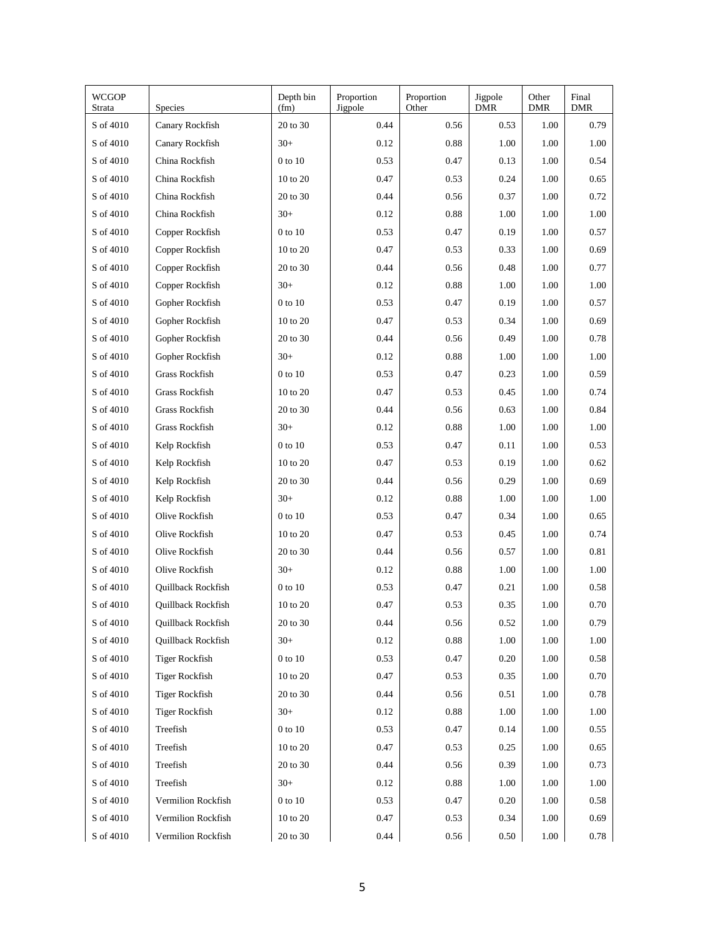| <b>WCGOP</b><br>Strata | <b>Species</b>            | Depth bin<br>(fm)   | Proportion<br>Jigpole | Proportion<br>Other | Jigpole<br><b>DMR</b> | Other<br><b>DMR</b> | Final<br><b>DMR</b> |
|------------------------|---------------------------|---------------------|-----------------------|---------------------|-----------------------|---------------------|---------------------|
| S of 4010              | Canary Rockfish           | 20 to 30            | 0.44                  | 0.56                | 0.53                  | 1.00                | 0.79                |
| S of 4010              | Canary Rockfish           | $30+$               | 0.12                  | 0.88                | 1.00                  | 1.00                | 1.00                |
| S of 4010              | China Rockfish            | $0$ to $10$         | 0.53                  | 0.47                | 0.13                  | 1.00                | 0.54                |
| S of 4010              | China Rockfish            | 10 to 20            | 0.47                  | 0.53                | 0.24                  | 1.00                | 0.65                |
| S of 4010              | China Rockfish            | 20 to 30            | 0.44                  | 0.56                | 0.37                  | 1.00                | 0.72                |
| S of 4010              | China Rockfish            | $30+$               | 0.12                  | 0.88                | 1.00                  | 1.00                | 1.00                |
| S of 4010              | Copper Rockfish           | $0$ to $10$         | 0.53                  | 0.47                | 0.19                  | 1.00                | 0.57                |
| S of 4010              | Copper Rockfish           | $10 \text{ to } 20$ | 0.47                  | 0.53                | 0.33                  | 1.00                | 0.69                |
| S of 4010              | Copper Rockfish           | 20 to 30            | 0.44                  | 0.56                | 0.48                  | 1.00                | 0.77                |
| S of 4010              | Copper Rockfish           | $30+$               | 0.12                  | 0.88                | 1.00                  | 1.00                | 1.00                |
| S of 4010              | Gopher Rockfish           | $0$ to $10$         | 0.53                  | 0.47                | 0.19                  | 1.00                | 0.57                |
| S of 4010              | Gopher Rockfish           | $10 \text{ to } 20$ | 0.47                  | 0.53                | 0.34                  | 1.00                | 0.69                |
| S of 4010              | Gopher Rockfish           | 20 to 30            | 0.44                  | 0.56                | 0.49                  | 1.00                | 0.78                |
| S of 4010              | Gopher Rockfish           | $30+$               | 0.12                  | 0.88                | 1.00                  | 1.00                | 1.00                |
| S of 4010              | Grass Rockfish            | $0$ to $10$         | 0.53                  | 0.47                | 0.23                  | 1.00                | 0.59                |
| S of 4010              | Grass Rockfish            | 10 to 20            | 0.47                  | 0.53                | 0.45                  | 1.00                | 0.74                |
| S of 4010              | Grass Rockfish            | 20 to 30            | 0.44                  | 0.56                | 0.63                  | 1.00                | 0.84                |
| S of 4010              | Grass Rockfish            | $30+$               | 0.12                  | 0.88                | 1.00                  | 1.00                | 1.00                |
| S of 4010              | Kelp Rockfish             | $0$ to $10$         | 0.53                  | 0.47                | 0.11                  | 1.00                | 0.53                |
| S of 4010              | Kelp Rockfish             | 10 to 20            | 0.47                  | 0.53                | 0.19                  | 1.00                | 0.62                |
| S of 4010              | Kelp Rockfish             | 20 to 30            | 0.44                  | 0.56                | 0.29                  | 1.00                | 0.69                |
| S of 4010              | Kelp Rockfish             | $30+$               | 0.12                  | 0.88                | 1.00                  | 1.00                | 1.00                |
| S of 4010              | Olive Rockfish            | $0$ to $10$         | 0.53                  | 0.47                | 0.34                  | 1.00                | 0.65                |
| S of 4010              | Olive Rockfish            | 10 to 20            | 0.47                  | 0.53                | 0.45                  | 1.00                | 0.74                |
| S of 4010              | Olive Rockfish            | 20 to 30            | 0.44                  | 0.56                | 0.57                  | 1.00                | 0.81                |
| S of 4010              | Olive Rockfish            | $30+$               | 0.12                  | 0.88                | 1.00                  | 1.00                | 1.00                |
| S of 4010              | <b>Ouillback Rockfish</b> | $0$ to $10$         | 0.53                  | 0.47                | 0.21                  | 1.00                | 0.58                |
| S of 4010              | <b>Ouillback Rockfish</b> | 10 to 20            | 0.47                  | 0.53                | 0.35                  | 1.00                | 0.70                |
| S of 4010              | Quillback Rockfish        | 20 to 30            | 0.44                  | 0.56                | $0.52\,$              | 1.00                | 0.79                |
| S of 4010              | Quillback Rockfish        | $30+$               | 0.12                  | $\rm 0.88$          | 1.00                  | 1.00                | 1.00                |
| S of 4010              | <b>Tiger Rockfish</b>     | 0 to 10             | 0.53                  | 0.47                | 0.20                  | 1.00                | 0.58                |
| S of 4010              | <b>Tiger Rockfish</b>     | 10 to 20            | 0.47                  | 0.53                | 0.35                  | 1.00                | 0.70                |
| S of 4010              | <b>Tiger Rockfish</b>     | 20 to 30            | 0.44                  | 0.56                | 0.51                  | 1.00                | 0.78                |
| S of 4010              | <b>Tiger Rockfish</b>     | $30+$               | 0.12                  | 0.88                | 1.00                  | 1.00                | 1.00                |
| S of 4010              | Treefish                  | 0 to 10             | 0.53                  | 0.47                | 0.14                  | 1.00                | 0.55                |
| S of 4010              | Treefish                  | 10 to 20            | 0.47                  | 0.53                | 0.25                  | 1.00                | 0.65                |
| S of 4010              | Treefish                  | 20 to 30            | 0.44                  | 0.56                | 0.39                  | 1.00                | 0.73                |
| S of 4010              | Treefish                  | $30+$               | 0.12                  | 0.88                | 1.00                  | 1.00                | 1.00                |
| S of 4010              | Vermilion Rockfish        | 0 to 10             | 0.53                  | 0.47                | 0.20                  | 1.00                | 0.58                |
| S of 4010              | Vermilion Rockfish        | $10$ to $20\,$      | 0.47                  | 0.53                | 0.34                  | 1.00                | 0.69                |
| S of 4010              | Vermilion Rockfish        | 20 to 30            | 0.44                  | 0.56                | 0.50                  | 1.00                | 0.78                |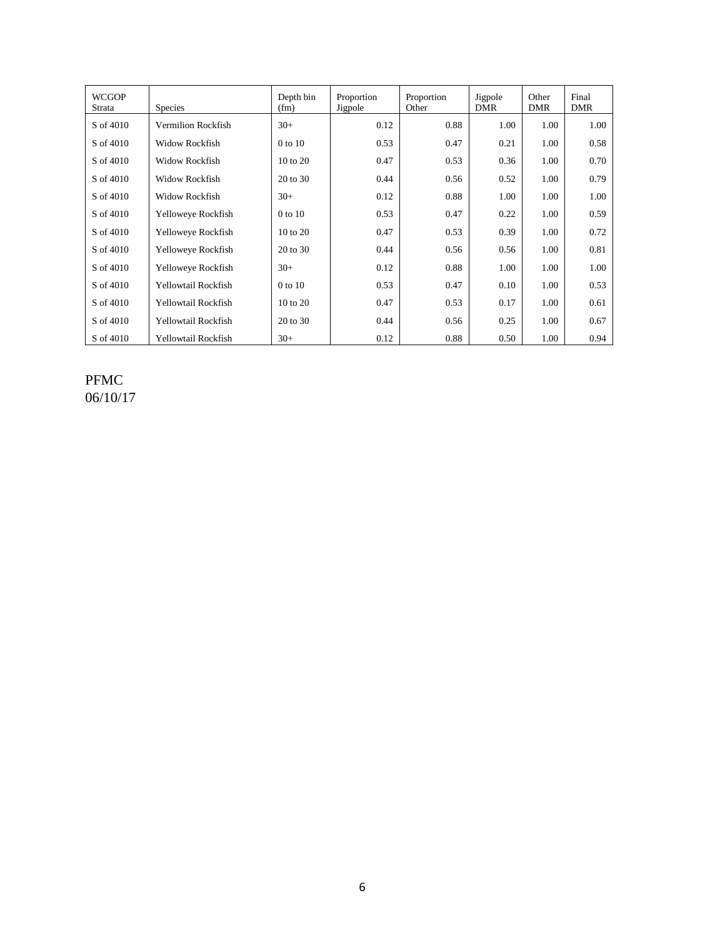| <b>WCGOP</b><br>Strata | <b>Species</b>        | Depth bin<br>(fm)   | Proportion<br>Jigpole | Proportion<br>Other | Jigpole<br><b>DMR</b> | Other<br><b>DMR</b> | Final<br><b>DMR</b> |
|------------------------|-----------------------|---------------------|-----------------------|---------------------|-----------------------|---------------------|---------------------|
| S of 4010              | Vermilion Rockfish    | $30+$               | 0.12                  | 0.88                | 1.00                  | 1.00                | 1.00                |
| S of 4010              | <b>Widow Rockfish</b> | 0 to 10             | 0.53                  | 0.47                | 0.21                  | 1.00                | 0.58                |
| S of 4010              | <b>Widow Rockfish</b> | $10 \text{ to } 20$ | 0.47                  | 0.53                | 0.36                  | 1.00                | 0.70                |
| S of 4010              | <b>Widow Rockfish</b> | 20 to 30            | 0.44                  | 0.56                | 0.52                  | 1.00                | 0.79                |
| S of 4010              | <b>Widow Rockfish</b> | $30+$               | 0.12                  | 0.88                | 1.00                  | 1.00                | 1.00                |
| S of 4010              | Yelloweye Rockfish    | 0 to 10             | 0.53                  | 0.47                | 0.22                  | 1.00                | 0.59                |
| S of 4010              | Yelloweye Rockfish    | 10 to 20            | 0.47                  | 0.53                | 0.39                  | 1.00                | 0.72                |
| S of 4010              | Yelloweye Rockfish    | 20 to 30            | 0.44                  | 0.56                | 0.56                  | 1.00                | 0.81                |
| S of 4010              | Yelloweye Rockfish    | $30+$               | 0.12                  | 0.88                | 1.00                  | 1.00                | 1.00                |
| S of 4010              | Yellowtail Rockfish   | 0 to 10             | 0.53                  | 0.47                | 0.10                  | 1.00                | 0.53                |
| S of 4010              | Yellowtail Rockfish   | $10 \text{ to } 20$ | 0.47                  | 0.53                | 0.17                  | 1.00                | 0.61                |
| S of 4010              | Yellowtail Rockfish   | 20 to 30            | 0.44                  | 0.56                | 0.25                  | 1.00                | 0.67                |
| S of 4010              | Yellowtail Rockfish   | $30+$               | 0.12                  | 0.88                | 0.50                  | 1.00                | 0.94                |

PFMC 06/10/17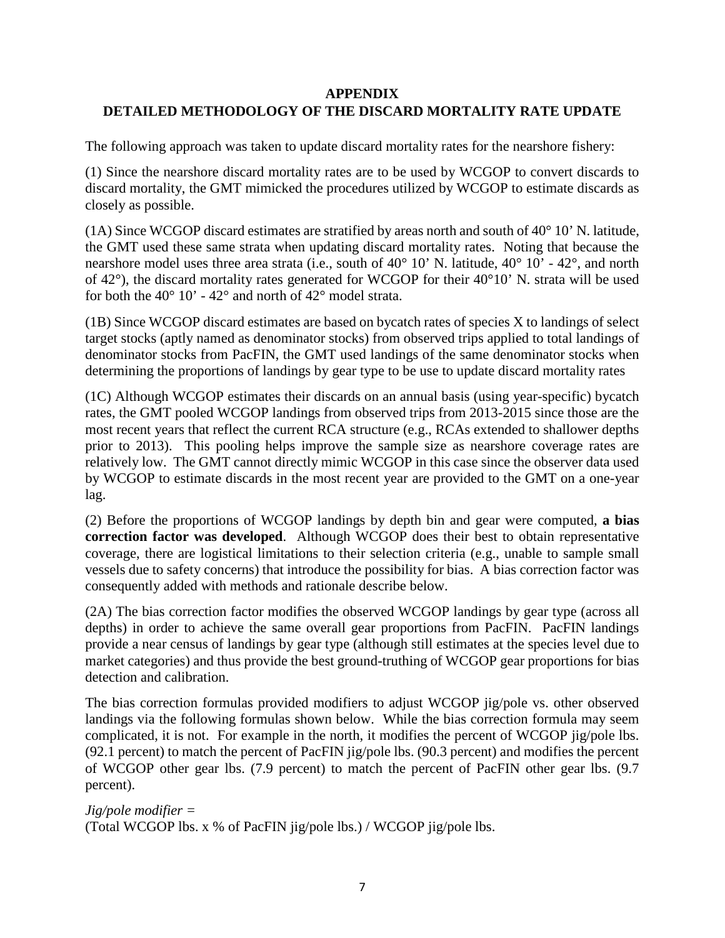## **APPENDIX DETAILED METHODOLOGY OF THE DISCARD MORTALITY RATE UPDATE**

The following approach was taken to update discard mortality rates for the nearshore fishery:

(1) Since the nearshore discard mortality rates are to be used by WCGOP to convert discards to discard mortality, the GMT mimicked the procedures utilized by WCGOP to estimate discards as closely as possible.

(1A) Since WCGOP discard estimates are stratified by areas north and south of 40° 10' N. latitude, the GMT used these same strata when updating discard mortality rates. Noting that because the nearshore model uses three area strata (i.e., south of 40° 10' N. latitude, 40° 10' - 42°, and north of 42°), the discard mortality rates generated for WCGOP for their 40°10' N. strata will be used for both the  $40^{\circ}$  10' -  $42^{\circ}$  and north of  $42^{\circ}$  model strata.

(1B) Since WCGOP discard estimates are based on bycatch rates of species X to landings of select target stocks (aptly named as denominator stocks) from observed trips applied to total landings of denominator stocks from PacFIN, the GMT used landings of the same denominator stocks when determining the proportions of landings by gear type to be use to update discard mortality rates

(1C) Although WCGOP estimates their discards on an annual basis (using year-specific) bycatch rates, the GMT pooled WCGOP landings from observed trips from 2013-2015 since those are the most recent years that reflect the current RCA structure (e.g., RCAs extended to shallower depths prior to 2013). This pooling helps improve the sample size as nearshore coverage rates are relatively low. The GMT cannot directly mimic WCGOP in this case since the observer data used by WCGOP to estimate discards in the most recent year are provided to the GMT on a one-year lag.

(2) Before the proportions of WCGOP landings by depth bin and gear were computed, **a bias correction factor was developed**. Although WCGOP does their best to obtain representative coverage, there are logistical limitations to their selection criteria (e.g., unable to sample small vessels due to safety concerns) that introduce the possibility for bias. A bias correction factor was consequently added with methods and rationale describe below.

(2A) The bias correction factor modifies the observed WCGOP landings by gear type (across all depths) in order to achieve the same overall gear proportions from PacFIN. PacFIN landings provide a near census of landings by gear type (although still estimates at the species level due to market categories) and thus provide the best ground-truthing of WCGOP gear proportions for bias detection and calibration.

The bias correction formulas provided modifiers to adjust WCGOP jig/pole vs. other observed landings via the following formulas shown below. While the bias correction formula may seem complicated, it is not. For example in the north, it modifies the percent of WCGOP jig/pole lbs. (92.1 percent) to match the percent of PacFIN jig/pole lbs. (90.3 percent) and modifies the percent of WCGOP other gear lbs. (7.9 percent) to match the percent of PacFIN other gear lbs. (9.7 percent).

```
Jig/pole modifier = 
(Total WCGOP lbs. x % of PacFIN jig/pole lbs.) / WCGOP jig/pole lbs.
```